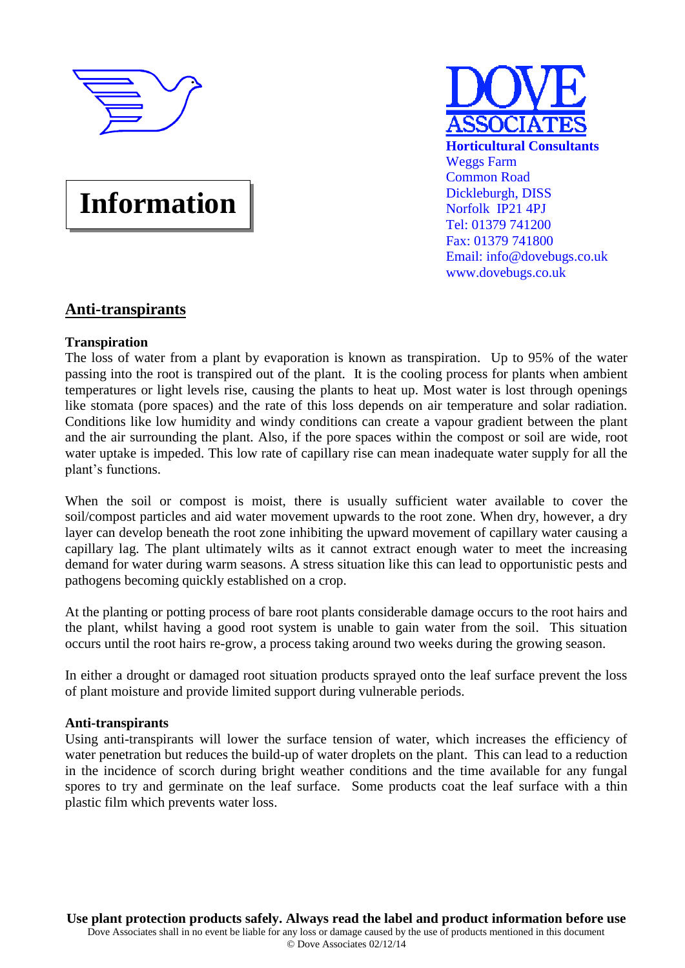

**Information**

**Horticultural Consultants** Weggs Farm Common Road Dickleburgh, DISS Norfolk IP21 4PJ Tel: 01379 741200 Fax: 01379 741800 Email: info@dovebugs.co.uk www.dovebugs.co.uk

# **Anti-transpirants**

### **Transpiration**

The loss of water from a plant by evaporation is known as transpiration. Up to 95% of the water passing into the root is transpired out of the plant. It is the cooling process for plants when ambient temperatures or light levels rise, causing the plants to heat up. Most water is lost through openings like stomata (pore spaces) and the rate of this loss depends on air temperature and solar radiation. Conditions like low humidity and windy conditions can create a vapour gradient between the plant and the air surrounding the plant. Also, if the pore spaces within the compost or soil are wide, root water uptake is impeded. This low rate of capillary rise can mean inadequate water supply for all the plant's functions.

When the soil or compost is moist, there is usually sufficient water available to cover the soil/compost particles and aid water movement upwards to the root zone. When dry, however, a dry layer can develop beneath the root zone inhibiting the upward movement of capillary water causing a capillary lag. The plant ultimately wilts as it cannot extract enough water to meet the increasing demand for water during warm seasons. A stress situation like this can lead to opportunistic pests and pathogens becoming quickly established on a crop.

At the planting or potting process of bare root plants considerable damage occurs to the root hairs and the plant, whilst having a good root system is unable to gain water from the soil. This situation occurs until the root hairs re-grow, a process taking around two weeks during the growing season.

In either a drought or damaged root situation products sprayed onto the leaf surface prevent the loss of plant moisture and provide limited support during vulnerable periods.

### **Anti-transpirants**

Using anti-transpirants will lower the surface tension of water, which increases the efficiency of water penetration but reduces the build-up of water droplets on the plant. This can lead to a reduction in the incidence of scorch during bright weather conditions and the time available for any fungal spores to try and germinate on the leaf surface. Some products coat the leaf surface with a thin plastic film which prevents water loss.